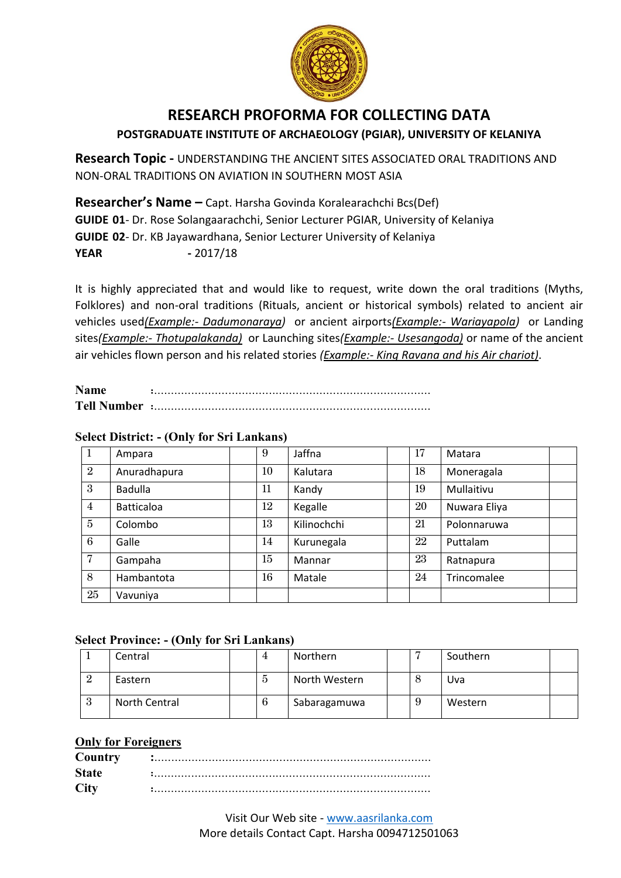

# **RESEARCH PROFORMA FOR COLLECTING DATA POSTGRADUATE INSTITUTE OF ARCHAEOLOGY (PGIAR), UNIVERSITY OF KELANIYA**

**Research Topic -** UNDERSTANDING THE ANCIENT SITES ASSOCIATED ORAL TRADITIONS AND NON-ORAL TRADITIONS ON AVIATION IN SOUTHERN MOST ASIA

**Researcher's Name –** Capt. Harsha Govinda Koralearachchi Bcs(Def) **GUIDE 01**- Dr. Rose Solangaarachchi, Senior Lecturer PGIAR, University of Kelaniya **GUIDE 02**- Dr. KB Jayawardhana, Senior Lecturer University of Kelaniya **YEAR** - 2017/18

It is highly appreciated that and would like to request, write down the oral traditions (Myths, Folklores) and non-oral traditions (Rituals, ancient or historical symbols) related to ancient air vehicles used*(Example:- Dadumonaraya)* or ancient airports*(Example:- Wariayapola)* or Landing sites*(Example:- Thotupalakanda)* or Launching sites*(Example:- Usesangoda)* or name of the ancient air vehicles flown person and his related stories *(Example:- King Ravana and his Air chariot)*.

| <b>Name</b>        |  |
|--------------------|--|
| <b>Tell Number</b> |  |

### **Select District: - (Only for Sri Lankans)**

| 1              | Ampara            | 9      | Jaffna      | 17 | Matara       |
|----------------|-------------------|--------|-------------|----|--------------|
| $\overline{2}$ | Anuradhapura      | 10     | Kalutara    | 18 | Moneragala   |
| 3              | <b>Badulla</b>    | 11     | Kandy       | 19 | Mullaitivu   |
| $\overline{4}$ | <b>Batticaloa</b> | 12     | Kegalle     | 20 | Nuwara Eliya |
| $\overline{5}$ | Colombo           | 13     | Kilinochchi | 21 | Polonnaruwa  |
| 6              | Galle             | 14     | Kurunegala  | 22 | Puttalam     |
| $\overline{7}$ | Gampaha           | $15\,$ | Mannar      | 23 | Ratnapura    |
| 8              | Hambantota        | 16     | Matale      | 24 | Trincomalee  |
| 25             | Vavuniya          |        |             |    |              |

#### **Select Province: - (Only for Sri Lankans)**

|                | Central       |   | Northern      |  | Southern |  |
|----------------|---------------|---|---------------|--|----------|--|
| $\overline{2}$ | Eastern       | Ð | North Western |  | Uva      |  |
|                | North Central | O | Sabaragamuwa  |  | Western  |  |

#### **Only for Foreigners**

| Country      |  |
|--------------|--|
| <b>State</b> |  |
| City         |  |

Visit Our Web site - [www.aasrilanka.com](http://www.aasrilanka.com/) More details Contact Capt. Harsha 0094712501063